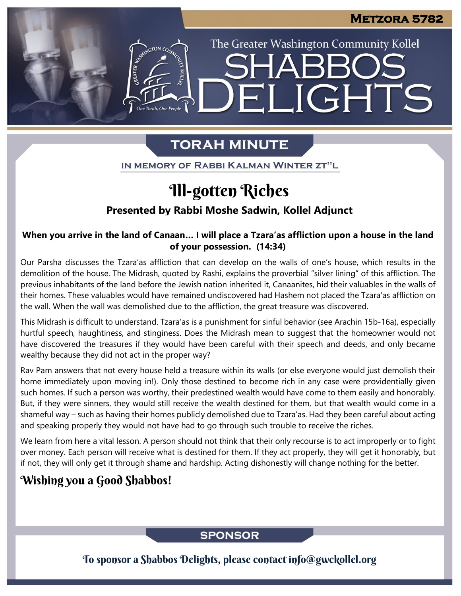The Greater Washington Community Kollel

ELIGHTS

# **TORAH MINUTE**

IN MEMORY OF RABBI KALMAN WINTER ZT"L

# Ill-gotten Riches

### **Presented by Rabbi Moshe Sadwin, Kollel Adjunct**

#### **When you arrive in the land of Canaan… I will place a Tzara'as affliction upon a house in the land of your possession. (14:34)**

Our Parsha discusses the Tzara'as affliction that can develop on the walls of one's house, which results in the demolition of the house. The Midrash, quoted by Rashi, explains the proverbial "silver lining" of this affliction. The previous inhabitants of the land before the Jewish nation inherited it, Canaanites, hid their valuables in the walls of their homes. These valuables would have remained undiscovered had Hashem not placed the Tzara'as affliction on the wall. When the wall was demolished due to the affliction, the great treasure was discovered.

This Midrash is difficult to understand. Tzara'as is a punishment for sinful behavior (see Arachin 15b-16a), especially hurtful speech, haughtiness, and stinginess. Does the Midrash mean to suggest that the homeowner would not have discovered the treasures if they would have been careful with their speech and deeds, and only became wealthy because they did not act in the proper way?

Rav Pam answers that not every house held a treasure within its walls (or else everyone would just demolish their home immediately upon moving in!). Only those destined to become rich in any case were providentially given such homes. If such a person was worthy, their predestined wealth would have come to them easily and honorably. But, if they were sinners, they would still receive the wealth destined for them, but that wealth would come in a shameful way – such as having their homes publicly demolished due to Tzara'as. Had they been careful about acting and speaking properly they would not have had to go through such trouble to receive the riches.

We learn from here a vital lesson. A person should not think that their only recourse is to act improperly or to fight over money. Each person will receive what is destined for them. If they act properly, they will get it honorably, but if not, they will only get it through shame and hardship. Acting dishonestly will change nothing for the better.

## Wishing you a Good Shabbos!

### **SPONSOR**

To sponsor a Shabbos Delights, please contact info@gwckollel.org